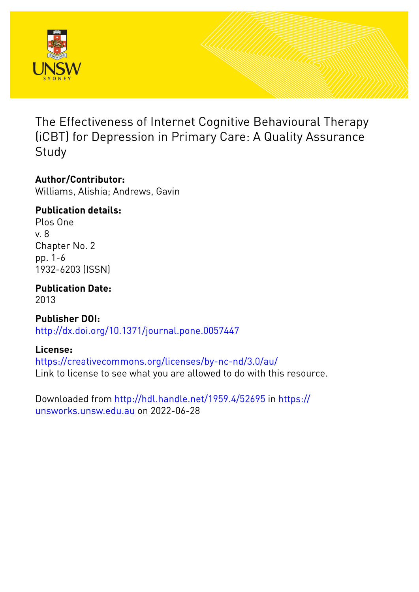

The Effectiveness of Internet Cognitive Behavioural Therapy (iCBT) for Depression in Primary Care: A Quality Assurance **Study** 

# **Author/Contributor:**

Williams, Alishia; Andrews, Gavin

# **Publication details:**

Plos One v. 8 Chapter No. 2 pp. 1-6 1932-6203 (ISSN)

**Publication Date:** 2013

**Publisher DOI:** [http://dx.doi.org/10.1371/journal.pone.0057447](http://dx.doi.org/http://dx.doi.org/10.1371/journal.pone.0057447)

# **License:**

<https://creativecommons.org/licenses/by-nc-nd/3.0/au/> Link to license to see what you are allowed to do with this resource.

Downloaded from <http://hdl.handle.net/1959.4/52695> in [https://](https://unsworks.unsw.edu.au) [unsworks.unsw.edu.au](https://unsworks.unsw.edu.au) on 2022-06-28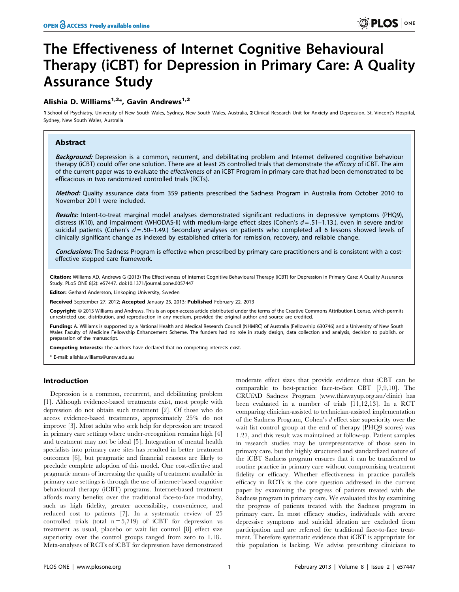# The Effectiveness of Internet Cognitive Behavioural Therapy (iCBT) for Depression in Primary Care: A Quality Assurance Study

# Alishia D. Williams<sup>1,2\*</sup>, Gavin Andrews<sup>1,2</sup>

1 School of Psychiatry, University of New South Wales, Sydney, New South Wales, Australia, 2 Clinical Research Unit for Anxiety and Depression, St. Vincent's Hospital, Sydney, New South Wales, Australia

# Abstract

Background: Depression is a common, recurrent, and debilitating problem and Internet delivered cognitive behaviour therapy (iCBT) could offer one solution. There are at least 25 controlled trials that demonstrate the efficacy of iCBT. The aim of the current paper was to evaluate the effectiveness of an iCBT Program in primary care that had been demonstrated to be efficacious in two randomized controlled trials (RCTs).

Method: Quality assurance data from 359 patients prescribed the Sadness Program in Australia from October 2010 to November 2011 were included.

Results: Intent-to-treat marginal model analyses demonstrated significant reductions in depressive symptoms (PHQ9), distress (K10), and impairment (WHODAS-II) with medium-large effect sizes (Cohen's  $d = .51-1.13$ .), even in severe and/or suicidal patients (Cohen's  $d = .50-1.49$ .) Secondary analyses on patients who completed all 6 lessons showed levels of clinically significant change as indexed by established criteria for remission, recovery, and reliable change.

Conclusions: The Sadness Program is effective when prescribed by primary care practitioners and is consistent with a costeffective stepped-care framework.

Citation: Williams AD, Andrews G (2013) The Effectiveness of Internet Cognitive Behavioural Therapy (iCBT) for Depression in Primary Care: A Quality Assurance Study. PLoS ONE 8(2): e57447. doi:10.1371/journal.pone.0057447

Editor: Gerhard Andersson, Linkoping University, Sweden

Received September 27, 2012; Accepted January 25, 2013; Published February 22, 2013

Copyright: © 2013 Williams and Andrews. This is an open-access article distributed under the terms of the Creative Commons Attribution License, which permits unrestricted use, distribution, and reproduction in any medium, provided the original author and source are credited.

Funding: A. Williams is supported by a National Health and Medical Research Council (NHMRC) of Australia (Fellowship 630746) and a University of New South Wales Faculty of Medicine Fellowship Enhancement Scheme. The funders had no role in study design, data collection and analysis, decision to publish, or preparation of the manuscript.

Competing Interests: The authors have declared that no competing interests exist.

\* E-mail: alishia.williams@unsw.edu.au

# Introduction

Depression is a common, recurrent, and debilitating problem [1]. Although evidence-based treatments exist, most people with depression do not obtain such treatment [2]. Of those who do access evidence-based treatments, approximately 25% do not improve [3]. Most adults who seek help for depression are treated in primary care settings where under-recognition remains high [4] and treatment may not be ideal [5]. Integration of mental health specialists into primary care sites has resulted in better treatment outcomes [6], but pragmatic and financial reasons are likely to preclude complete adoption of this model. One cost-effective and pragmatic means of increasing the quality of treatment available in primary care settings is through the use of internet-based cognitive behavioural therapy (iCBT) programs. Internet-based treatment affords many benefits over the traditional face-to-face modality, such as high fidelity, greater accessibility, convenience, and reduced cost to patients [7]. In a systematic review of 25 controlled trials (total  $n = 5,719$ ) of iCBT for depression vs treatment as usual, placebo or wait list control [8] effect size superiority over the control groups ranged from zero to 1.18. Meta-analyses of RCTs of iCBT for depression have demonstrated

moderate effect sizes that provide evidence that iCBT can be comparable to best-practice face-to-face CBT [7,9,10]. The CRUfAD Sadness Program (www.thiswayup.org.au/clinic) has been evaluated in a number of trials [11,12,13]. In a RCT comparing clinician-assisted to technician-assisted implementation of the Sadness Program, Cohen's d effect size superiority over the wait list control group at the end of therapy (PHQ9 scores) was 1.27, and this result was maintained at follow-up. Patient samples in research studies may be unrepresentative of those seen in primary care, but the highly structured and standardized nature of the iCBT Sadness program ensures that it can be transferred to routine practice in primary care without compromising treatment fidelity or efficacy. Whether effectiveness in practice parallels efficacy in RCTs is the core question addressed in the current paper by examining the progress of patients treated with the Sadness program in primary care. We evaluated this by examining the progress of patients treated with the Sadness program in primary care. In most efficacy studies, individuals with severe depressive symptoms and suicidal ideation are excluded from participation and are referred for traditional face-to-face treatment. Therefore systematic evidence that iCBT is appropriate for this population is lacking. We advise prescribing clinicians to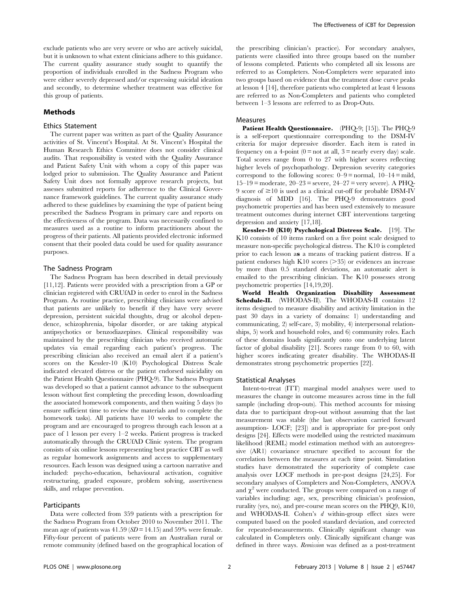exclude patients who are very severe or who are actively suicidal, but it is unknown to what extent clinicians adhere to this guidance. The current quality assurance study sought to quantify the proportion of individuals enrolled in the Sadness Program who were either severely depressed and/or expressing suicidal ideation and secondly, to determine whether treatment was effective for this group of patients.

#### Methods

# Ethics Statement

The current paper was written as part of the Quality Assurance activities of St. Vincent's Hospital. At St. Vincent's Hospital the Human Research Ethics Committee does not consider clinical audits. That responsibility is vested with the Quality Assurance and Patient Safety Unit with whom a copy of this paper was lodged prior to submission. The Quality Assurance and Patient Safety Unit does not formally approve research projects, but assesses submitted reports for adherence to the Clinical Governance framework guidelines. The current quality assurance study adhered to these guidelines by examining the type of patient being prescribed the Sadness Program in primary care and reports on the effectiveness of the program. Data was necessarily confined to measures used as a routine to inform practitioners about the progress of their patients. All patients provided electronic informed consent that their pooled data could be used for quality assurance purposes.

### The Sadness Program

The Sadness Program has been described in detail previously [11,12]. Patients were provided with a prescription from a GP or clinician registered with CRUfAD in order to enrol in the Sadness Program. As routine practice, prescribing clinicians were advised that patients are unlikely to benefit if they have very severe depression, persistent suicidal thoughts, drug or alcohol dependence, schizophrenia, bipolar disorder, or are taking atypical antipsychotics or benzodiazepines. Clinical responsibility was maintained by the prescribing clinician who received automatic updates via email regarding each patient's progress. The prescribing clinician also received an email alert if a patient's scores on the Kessler-10 (K10) Psychological Distress Scale indicated elevated distress or the patient endorsed suicidality on the Patient Health Questionnaire (PHQ-9). The Sadness Program was developed so that a patient cannot advance to the subsequent lesson without first completing the preceding lesson, downloading the associated homework components, and then waiting 5 days (to ensure sufficient time to review the materials and to complete the homework tasks). All patients have 10 weeks to complete the program and are encouraged to progress through each lesson at a pace of 1 lesson per every 1–2 weeks. Patient progress is tracked automatically through the CRUfAD Clinic system. The program consists of six online lessons representing best practice CBT as well as regular homework assignments and access to supplementary resources. Each lesson was designed using a cartoon narrative and included: psycho-education, behavioural activation, cognitive restructuring, graded exposure, problem solving, assertiveness skills, and relapse prevention.

# Participants

Data were collected from 359 patients with a prescription for the Sadness Program from October 2010 to November 2011. The mean age of patients was  $41.59$  ( $SD = 14.15$ ) and  $59\%$  were female. Fifty-four percent of patients were from an Australian rural or remote community (defined based on the geographical location of the prescribing clinician's practice). For secondary analyses, patients were classified into three groups based on the number of lessons completed. Patients who completed all six lessons are referred to as Completers. Non-Completers were separated into two groups based on evidence that the treatment dose curve peaks at lesson 4 [14], therefore patients who completed at least 4 lessons are referred to as Non-Completers and patients who completed between 1–3 lessons are referred to as Drop-Outs.

#### Measures

Patient Health Questionnaire. (PHO-9; [15]). The PHO-9 is a self-report questionnaire corresponding to the DSM-IV criteria for major depressive disorder. Each item is rated in frequency on a 4-point  $(0 = not at all, 3 = nearly every day) scale.$ Total scores range from 0 to 27 with higher scores reflecting higher levels of psychopathology. Depression severity categories correspond to the following scores:  $0-9$  = normal,  $10-14$  = mild,  $15-19$  = moderate,  $20-23$  = severe,  $24-27$  = very severe). A PHQ-9 score of  $\geq 10$  is used as a clinical cut-off for probable DSM-IV diagnosis of MDD [16]. The PHQ-9 demonstrates good psychometric properties and has been used extensively to measure treatment outcomes during internet CBT interventions targeting depression and anxiety [17,18].

Kessler-10 (K10) Psychological Distress Scale. [19]. The K10 consists of 10 items ranked on a five point scale designed to measure non-specific psychological distress. The K10 is completed prior to each lesson as a means of tracking patient distress. If a patient endorses high K10 scores  $(>35)$  or evidences an increase by more than 0.5 standard deviations, an automatic alert is emailed to the prescribing clinician. The K10 possesses strong psychometric properties [14,19,20].

World Health Organization Disability Assessment Schedule-II. (WHODAS-II). The WHODAS-II contains 12 items designed to measure disability and activity limitation in the past 30 days in a variety of domains: 1) understanding and communicating, 2) self-care, 3) mobility, 4) interpersonal relationships, 5) work and household roles, and 6) community roles. Each of these domains loads significantly onto one underlying latent factor of global disability [21]. Scores range from 0 to 60, with higher scores indicating greater disability. The WHODAS-II demonstrates strong psychometric properties [22].

#### Statistical Analyses

Intent-to-treat (ITT) marginal model analyses were used to measures the change in outcome measures across time in the full sample (including drop-outs). This method accounts for missing data due to participant drop-out without assuming that the last measurement was stable (the last observation carried forward assumption- LOCF; [23]) and is appropriate for pre-post only designs [24]. Effects were modelled using the restricted maximum likelihood (REML) model estimation method with an autoregressive (AR1) covariance structure specified to account for the correlation between the measures at each time point. Simulation studies have demonstrated the superiority of complete case analysis over LOCF methods in pre-post designs [24,25]. For secondary analyses of Completers and Non-Completers, ANOVA and  $\chi^2$  were conducted. The groups were compared on a range of variables including: age, sex, prescribing clinician's profession, rurality (yes, no), and pre-course mean scores on the PHQ9, K10, and WHODAS-II. Cohen's d within-group effect sizes were computed based on the pooled standard deviation, and corrected for repeated-measurements. Clinically significant change was calculated in Completers only. Clinically significant change was defined in three ways. Remission was defined as a post-treatment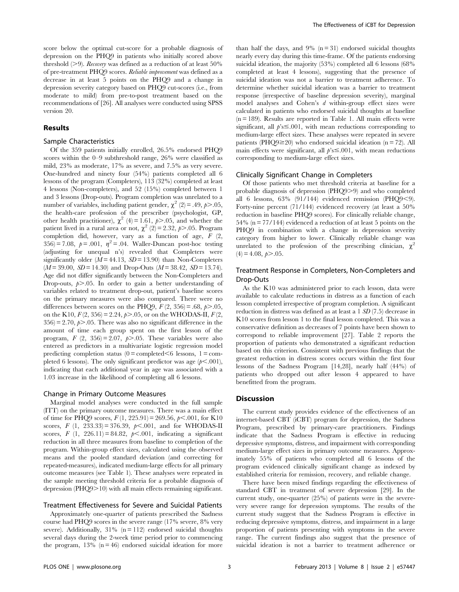score below the optimal cut-score for a probable diagnosis of depression on the PHQ9 in patients who initially scored above threshold  $(>9)$ . Recovery was defined as a reduction of at least 50% of pre-treatment PHQ9 scores. Reliable improvement was defined as a decrease in at least 5 points on the PHQ9 and a change in depression severity category based on PHQ9 cut-scores (i.e., from moderate to mild) from pre-to-post treatment based on the recommendations of [26]. All analyses were conducted using SPSS version 20.

#### Results

# Sample Characteristics

Of the 359 patients initially enrolled, 26.5% endorsed PHQ9 scores within the 0–9 subthreshold range, 26% were classified as mild, 23% as moderate, 17% as severe, and 7.5% as very severe. One-hundred and ninety four (54%) patients completed all 6 lessons of the program (Completers), 113 (32%) completed at least 4 lessons (Non-completers), and 52 (15%) completed between 1 and 3 lessons (Drop-outs). Program completion was unrelated to a number of variables, including patient gender,  $\chi^2$  (2) = .49,  $\rho$  > .05, the health-care profession of the prescriber (psychologist, GP, other health practitioner),  $\chi^2$  (4) = 1.61,  $p$ >.05, and whether the patient lived in a rural area or not,  $\chi^2$  (2) = 2.32, p>.05. Program completion did, however, vary as a function of age,  $F(2, 1)$  $356 = 7.08$ ,  $p = .001$ ,  $p^2 = .04$ . Waller-Duncan post-hoc testing (adjusting for unequal n's) revealed that Completers were significantly older  $(M = 44.13, SD = 13.90)$  than Non-Completers  $(M = 39.00, SD = 14.30)$  and Drop-Outs  $(M = 38.42, SD = 13.74)$ . Age did not differ significantly between the Non-Completers and Drop-outs,  $p > 0.05$ . In order to gain a better understanding of variables related to treatment drop-out, patient's baseline scores on the primary measures were also compared. There were no differences between scores on the PHQ9,  $F(2, 356) = .68$ ,  $p > .05$ , on the K10,  $F(2, 356) = 2.24, p > .05$ , or on the WHODAS-II,  $F(2, 356) = 2.24, p > .05$ , or on the WHODAS-II,  $F(2, 356) = 2.24, p > .05$  $356$  = 2.70,  $p$  > 05. There was also no significant difference in the amount of time each group spent on the first lesson of the program,  $F(2, 356) = 2.07$ ,  $p > .05$ . These variables were also entered as predictors in a multivariate logistic regression model predicting completion status ( $0 =$ completed $\leq 6$  lessons,  $1 =$ completed 6 lessons). The only significant predictor was age  $(p<.001)$ , indicating that each additional year in age was associated with a 1.03 increase in the likelihood of completing all 6 lessons.

#### Change in Primary Outcome Measures

Marginal model analyses were conducted in the full sample (ITT) on the primary outcome measures. There was a main effect of time for PHQ9 scores,  $F(1, 225.91) = 269.56, p<.001$ , for K10 scores, F (1, 233.33) = 376.39,  $p<.001$ , and for WHODAS-II scores, F (1, 226.11) = 84.82,  $p<.001$ , indicating a significant reduction in all three measures from baseline to completion of the program. Within-group effect sizes, calculated using the observed means and the pooled standard deviation (and correcting for repeated-measures), indicated medium-large effects for all primary outcome measures (see Table 1). These analyses were repeated in the sample meeting threshold criteria for a probable diagnosis of depression (PHQ9>10) with all main effects remaining significant.

# Treatment Effectiveness for Severe and Suicidal Patients

Approximately one-quarter of patients prescribed the Sadness course had PHQ9 scores in the severe range (17% severe, 8% very severe). Additionally,  $31\%$  (n = 112) endorsed suicidal thoughts several days during the 2-week time period prior to commencing the program,  $13\%$  (n = 46) endorsed suicidal ideation for more than half the days, and  $9\%$  (n = 31) endorsed suicidal thoughts nearly every day during this time-frame. Of the patients endorsing suicidal ideation, the majority (53%) completed all 6 lessons (68% completed at least 4 lessons), suggesting that the presence of suicidal ideation was not a barrier to treatment adherence. To determine whether suicidal ideation was a barrier to treatment response (irrespective of baseline depression severity), marginal model analyses and Cohen's d within-group effect sizes were calculated in patients who endorsed suicidal thoughts at baseline  $(n = 189)$ . Results are reported in Table 1. All main effects were significant, all  $p$ 's  $\leq 0.01$ , with mean reductions corresponding to medium-large effect sizes. These analyses were repeated in severe patients (PHQ9 $\geq$ 20) who endorsed suicidal ideation (n = 72). All main effects were significant, all  $\dot{p}$ 's  $\leq 0.01$ , with mean reductions corresponding to medium-large effect sizes.

#### Clinically Significant Change in Completers

Of those patients who met threshold criteria at baseline for a probable diagnosis of depression (PHQ9>9) and who completed all 6 lessons,  $63\%$  (91/144) evidenced remission (PHQ9<9). Forty-nine percent (71/144) evidenced recovery (at least a 50% reduction in baseline PHQ9 scores). For clinically reliable change,  $54\%$  (n =  $77/144$ ) evidenced a reduction of at least 5 points on the PHQ9 in combination with a change in depression severity category from higher to lower. Clinically reliable change was unrelated to the profession of the prescribing clinician,  $\chi^2$  $(4) = 4.08, p > .05.$ 

# Treatment Response in Completers, Non-Completers and Drop-Outs

As the K10 was administered prior to each lesson, data were available to calculate reductions in distress as a function of each lesson completed irrespective of program completion. A significant reduction in distress was defined as at least a 1 SD (7.5) decrease in K10 scores from lesson 1 to the final lesson completed. This was a conservative definition as decreases of 7 points have been shown to correspond to reliable improvement [27]. Table 2 reports the proportion of patients who demonstrated a significant reduction based on this criterion. Consistent with previous findings that the greatest reduction in distress scores occurs within the first four lessons of the Sadness Program [14,28], nearly half (44%) of patients who dropped out after lesson 4 appeared to have benefitted from the program.

# **Discussion**

The current study provides evidence of the effectiveness of an internet-based CBT (iCBT) program for depression, the Sadness Program, prescribed by primary-care practitioners. Findings indicate that the Sadness Program is effective in reducing depressive symptoms, distress, and impairment with corresponding medium-large effect sizes in primary outcome measures. Approximately 55% of patients who completed all 6 lessons of the program evidenced clinically significant change as indexed by established criteria for remission, recovery, and reliable change.

There have been mixed findings regarding the effectiveness of standard CBT in treatment of severe depression [29]. In the current study, one-quarter (25%) of patients were in the severevery severe range for depression symptoms. The results of the current study suggest that the Sadness Program is effective in reducing depressive symptoms, distress, and impairment in a large proportion of patients presenting with symptoms in the severe range. The current findings also suggest that the presence of suicidal ideation is not a barrier to treatment adherence or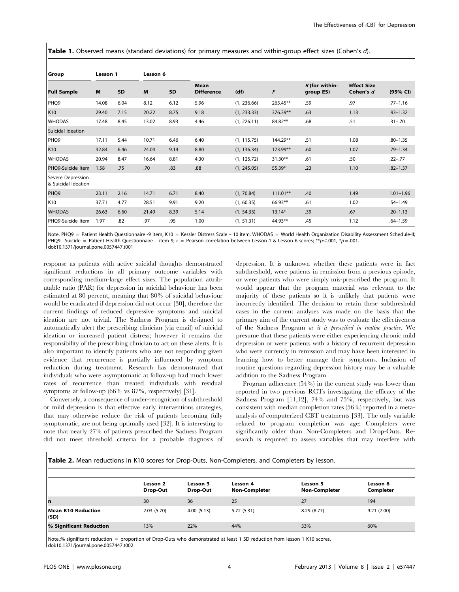Table 1. Observed means (standard deviations) for primary measures and within-group effect sizes (Cohen's d).

| Group                                    | Lesson 1 |      | Lesson 6 |      |                           |             |            |                             |                                 |               |
|------------------------------------------|----------|------|----------|------|---------------------------|-------------|------------|-----------------------------|---------------------------------|---------------|
| <b>Full Sample</b>                       | M        | SD   | M        | SD   | Mean<br><b>Difference</b> | (df)        | F          | R (for within-<br>group ES) | <b>Effect Size</b><br>Cohen's d | (95% CI)      |
| PHQ9                                     | 14.08    | 6.04 | 8.12     | 6.12 | 5.96                      | (1, 236.66) | 265.45**   | .59                         | .97                             | $.77 - 1.16$  |
| K10                                      | 29.40    | 7.15 | 20.22    | 8.75 | 9.18                      | (1, 233.33) | 376.39**   | .63                         | 1.13                            | $.93 - 1.32$  |
| <b>WHODAS</b>                            | 17.48    | 8.45 | 13.02    | 8.93 | 4.46                      | (1, 226.11) | 84.82**    | .68                         | .51                             | $.31 - .70$   |
| Suicidal Ideation                        |          |      |          |      |                           |             |            |                             |                                 |               |
| PHQ9                                     | 17.11    | 5.44 | 10.71    | 6.46 | 6.40                      | (1, 115.75) | 144.29**   | .51                         | 1.08                            | $.80 - 1.35$  |
| K10                                      | 32.84    | 6.46 | 24.04    | 9.14 | 8.80                      | (1, 136.34) | 173.99**   | .60                         | 1.07                            | $.79 - 1.34$  |
| <b>WHODAS</b>                            | 20.94    | 8.47 | 16.64    | 8.81 | 4.30                      | (1, 125.72) | $31.30**$  | .61                         | .50                             | $.22 - .77$   |
| PHQ9-Suicide Item                        | 1.58     | .75  | .70      | .83  | .88                       | (1, 245.05) | 55.39*     | .23                         | 1.10                            | $.82 - 1.37$  |
| Severe Depression<br>& Suicidal Ideation |          |      |          |      |                           |             |            |                             |                                 |               |
| PHQ9                                     | 23.11    | 2.16 | 14.71    | 6.71 | 8.40                      | (1, 70.84)  | $111.01**$ | .40                         | 1.49                            | $1.01 - 1.96$ |
| K10                                      | 37.71    | 4.77 | 28.51    | 9.91 | 9.20                      | (1, 60.35)  | 66.93**    | .61                         | 1.02                            | $.54 - 1.49$  |
| <b>WHODAS</b>                            | 26.63    | 6.60 | 21.49    | 8.39 | 5.14                      | (1, 54.35)  | $13.14*$   | .39                         | .67                             | $.20 - 1.13$  |
| PHQ9-Suicide Item                        | 1.97     | .82  | .97      | .95  | 1.00                      | (1, 51.31)  | 44.93**    | .45                         | 1.12                            | $.64 - 1.59$  |

Note. PHQ9 = Patient Health Questionnaire -9 item; K10 = Kessler Distress Scale - 10 item; WHODAS = World Health Organization Disability Assessment Schedule-II; PHQ9 -Suicide = Patient Health Questionnaire – item 9;  $r =$  Pearson correlation between Lesson 1 & Lesson 6 scores; \*\*p<.001, \*p = .001. doi:10.1371/journal.pone.0057447.t001

response as patients with active suicidal thoughts demonstrated significant reductions in all primary outcome variables with corresponding medium-large effect sizes. The population attributable ratio (PAR) for depression in suicidal behaviour has been estimated at 80 percent, meaning that 80% of suicidal behaviour would be eradicated if depression did not occur [30], therefore the current findings of reduced depressive symptoms and suicidal ideation are not trivial. The Sadness Program is designed to automatically alert the prescribing clinician (via email) of suicidal ideation or increased patient distress; however it remains the responsibility of the prescribing clinician to act on these alerts. It is also important to identify patients who are not responding given evidence that recurrence is partially influenced by symptom reduction during treatment. Research has demonstrated that individuals who were asymptomatic at follow-up had much lower rates of recurrence than treated individuals with residual symptoms at follow-up (66% vs 87%, respectively) [31].

Conversely, a consequence of under-recognition of subthreshold or mild depression is that effective early interventions strategies, that may otherwise reduce the risk of patients becoming fully symptomatic, are not being optimally used [32]. It is interesting to note that nearly 27% of patients prescribed the Sadness Program did not meet threshold criteria for a probable diagnosis of depression. It is unknown whether these patients were in fact subthreshold, were patients in remission from a previous episode, or were patients who were simply mis-prescribed the program. It would appear that the program material was relevant to the majority of these patients so it is unlikely that patients were incorrectly identified. The decision to retain these subthreshold cases in the current analyses was made on the basis that the primary aim of the current study was to evaluate the effectiveness of the Sadness Program as it is prescribed in routine practice. We presume that these patients were either experiencing chronic mild depression or were patients with a history of recurrent depression who were currently in remission and may have been interested in learning how to better manage their symptoms. Inclusion of routine questions regarding depression history may be a valuable addition to the Sadness Program.

Program adherence (54%) in the current study was lower than reported in two previous RCTs investigating the efficacy of the Sadness Program [11,12], 74% and 75%, respectively, but was consistent with median completion rates (56%) reported in a metaanalysis of computerized CBT treatments [33]. The only variable related to program completion was age: Completers were significantly older than Non-Completers and Drop-Outs. Research is required to assess variables that may interfere with

Table 2. Mean reductions in K10 scores for Drop-Outs, Non-Completers, and Completers by lesson.

|                            | Lesson 2<br>Drop-Out | <b>Lesson 3</b><br>Drop-Out | Lesson 4<br><b>Non-Completer</b> | Lesson 5<br><b>Non-Completer</b> | Lesson 6<br>Completer |
|----------------------------|----------------------|-----------------------------|----------------------------------|----------------------------------|-----------------------|
| n                          | 30                   | 36                          | 25                               | 27                               | 194                   |
| Mean K10 Reduction<br>(SD) | 2.03(5.70)           | 4.00(5.13)                  | 5.72(5.31)                       | 8.29(8.77)                       | 9.21(7.00)            |
| % Significant Reduction    | 13%                  | 22%                         | 44%                              | 33%                              | 60%                   |

Note.;% significant reduction = proportion of Drop-Outs who demonstrated at least 1 SD reduction from lesson 1 K10 scores. doi:10.1371/journal.pone.0057447.t002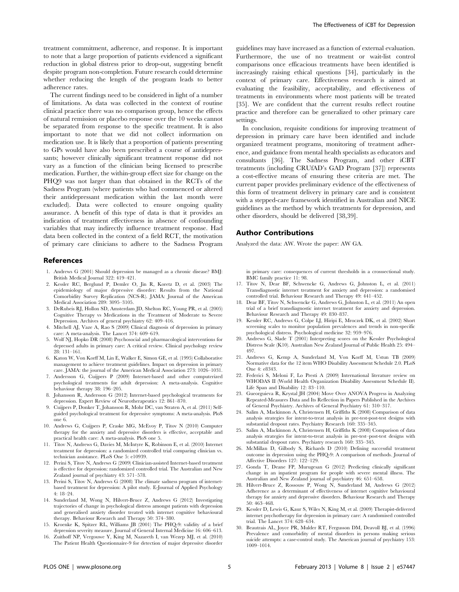treatment commitment, adherence, and response. It is important to note that a large proportion of patients evidenced a significant reduction in global distress prior to drop-out, suggesting benefit despite program non-completion. Future research could determine whether reducing the length of the program leads to better adherence rates.

The current findings need to be considered in light of a number of limitations. As data was collected in the context of routine clinical practice there was no comparison group, hence the effects of natural remission or placebo response over the 10 weeks cannot be separated from response to the specific treatment. It is also important to note that we did not collect information on medication use. It is likely that a proportion of patients presenting to GPs would have also been prescribed a course of antidepressants; however clinically significant treatment response did not vary as a function of the clinician being licensed to prescribe medication. Further, the within-group effect size for change on the PHQ9 was not larger than that obtained in the RCTs of the Sadness Program (where patients who had commenced or altered their antidepressant medication within the last month were excluded). Data were collected to ensure ongoing quality assurance. A benefit of this type of data is that it provides an indication of treatment effectiveness in absence of confounding variables that may indirectly influence treatment response. Had data been collected in the context of a field RCT, the motivation of primary care clinicians to adhere to the Sadness Program

# References

- 1. Andrews G (2001) Should depression be managed as a chronic disease? BMJ: British Medical Journal 322: 419–421.
- 2. Kessler RC, Berglund P, Demler O, Jin R, Koretz D, et al. (2003) The epidemiology of major depressive disorder: Results from the National Comorbidity Survey Replication (NCS-R). JAMA: Journal of the American Medical Association 289: 3095–3105.
- 3. DeRubeis RJ, Hollon SD, Amsterdam JD, Shelton RC, Young PR, et al. (2005) Cognitive Therapy vs Medications in the Treatment of Moderate to Severe Depression. Archives of general psychiatry 62: 409–416.
- 4. Mitchell AJ, Vaze A, Rao S (2009) Clinical diagnosis of depression in primary care: A meta-analysis. The Lancet 374: 609–619.
- 5. Wolf NJ, Hopko DR (2008) Psychosocial and pharmacological interventions for depressed adults in primary care: A critical review. Clinical psychology review 28: 131–161.
- 6. Katon W, Von Korff M, Lin E, Walker E, Simon GE, et al. (1995) Collaborative management to achieve treatment guidelines. Impact on depression in primary care. JAMA: the journal of the American Medical Association 273: 1026–1031.
- 7. Andersson G, Cuijpers P (2009) Internet-based and other computerized psychological treatments for adult depression: A meta-analysis. Cognitive behaviour therapy 38: 196–205.
- 8. Johansson R, Andersson G (2012) Internet-based psychological treatments for depression. Expert Review of Neurotherapeutics 12: 861–870.
- 9. Cuijpers P, Donker T, Johansson R, Mohr DC, van Straten A, et al. (2011) Selfguided psychological treatment for depressive symptoms: A meta-analysis. PloS one 6.
- 10. Andrews G, Cuijpers P, Craske MG, McEvoy P, Titov N (2010) Computer therapy for the anxiety and depressive disorders is effective, acceptable and practical health care: A meta-analysis. PloS one 5.
- 11. Titov N, Andrews G, Davies M, McIntyre K, Robinson E, et al. (2010) Internet treatment for depression: a randomized controlled trial comparing clinician vs. technician assistance. PLoS One 5: e10939.
- 12. Perini S, Titov N, Andrews G (2009) Clinician-assisted Internet-based treatment is effective for depression: randomized controlled trial. The Australian and New Zealand journal of psychiatry 43: 571–578.
- 13. Perini S, Titov N, Andrews G (2008) The climate sadness program of internetbased treatment for depression: A pilot study. E-Journal of Applied Psychology 4: 18–24.
- 14. Sunderland M, Wong N, Hilvert-Bruce Z, Andrews G (2012) Investigating trajectories of change in psychological distress amongst patients with depression and generalised anxiety disorder treated with internet cognitive behavioural therapy. Behaviour Research and Therapy 50: 374–380.
- 15. Kroenke K, Spitzer RL, Williams JB (2001) The PHQ-9: validity of a brief depression severity measure. Journal of General Internal Medicine 16: 606–613.
- 16. Zuithoff NP, Vergouwe Y, King M, Nazareth I, van Wezep MJ, et al. (2010) The Patient Health Questionnaire-9 for detection of major depressive disorder

guidelines may have increased as a function of external evaluation. Furthermore, the use of no treatment or wait-list control comparisons once efficacious treatments have been identified is increasingly raising ethical questions [34], particularly in the context of primary care. Effectiveness research is aimed at evaluating the feasibility, acceptability, and effectiveness of treatments in environments where most patients will be treated [35]. We are confident that the current results reflect routine practice and therefore can be generalized to other primary care settings.

In conclusion, requisite conditions for improving treatment of depression in primary care have been identified and include organized treatment programs, monitoring of treatment adherence, and guidance from mental health specialists as educators and consultants [36]. The Sadness Program, and other iCBT treatments (including CRUfAD's GAD Program [37]) represents a cost-effective means of ensuring these criteria are met. The current paper provides preliminary evidence of the effectiveness of this form of treatment delivery in primary care and is consistent with a stepped-care framework identified in Australian and NICE guidelines as the method by which treatments for depression, and other disorders, should be delivered [38,39].

# Author Contributions

Analyzed the data: AW. Wrote the paper: AW GA.

in primary care: consequences of current thresholds in a crosssectional study. BMC family practice 11: 98.

- 17. Titov N, Dear BF, Schwencke G, Andrews G, Johnston L, et al. (2011) Transdiagnostic internet treatment for anxiety and depression: a randomised controlled trial. Behaviour Research and Therapy 49: 441–452.
- 18. Dear BF, Titov N, Schwencke G, Andrews G, Johnston L, et al. (2011) An open trial of a brief transdiagnostic internet treatment for anxiety and depression. Behaviour Research and Therapy 49: 830–837.
- 19. Kessler RC, Andrews G, Colpe LJ, Hiripi E, Mroczek DK, et al. (2002) Short screening scales to monitor population prevalences and trends in non-specific psychological distress. Psychological medicine 32: 959–976.
- 20. Andrews G, Slade T (2001) Interpreting scores on the Kessler Psychological Distress Scale (K10). Australian New Zealand Journal of Public Health 25: 494– 497.
- 21. Andrews G, Kemp A, Sunderland M, Von Korff M, Ustun TB (2009) Normative data for the 12 item WHO Disability Assessment Schedule 2.0. PLoS One 4: e8343.
- 22. Federici S, Meloni F, Lo Presti A (2009) International literature review on WHODAS II (World Health Organization Disability Assessment Schedule II). Life Span and Disability 12: 83–110.
- 23. Gueorguieva R, Krystal JH (2004) Move Over ANOVA Progress in Analyzing Repeated-Measures Data and Its Reflection in Papers Published in the Archives of General Psychiatry. Archives of General Psychiatry 61: 310–317.
- 24. Salim A, Mackinnon A, Christensen H, Griffiths K (2008) Comparison of data analysis strategies for intent-to-treat analysis in pre-test-post-test designs with substantial dropout rates. Psychiatry Research 160: 335–345.
- 25. Salim A, Mackinnon A, Christensen H, Griffiths K (2008) Comparison of data analysis strategies for intent-to-treat analysis in pre-test–post-test designs with substantial dropout rates. Psychiatry research 160: 335–345.
- 26. McMillan D, Gilbody S, Richards D (2010) Defining successful treatment outcome in depression using the PHQ-9: A comparison of methods. Journal of Affective Disorders 127: 122–129.
- 27. Gonda T, Deane FP, Murugesan G (2012) Predicting clinically significant change in an inpatient program for people with severe mental illness. The Australian and New Zealand journal of psychiatry 46: 651–658.
- 28. Hilvert-Bruce Z, Rossouw P, Wong N, Sunderland M, Andrews G (2012) Adherence as a determinant of effectiveness of internet cognitive behavioural therapy for anxiety and depressive disorders. Behaviour Research and Therapy 50: 463–468.
- 29. Kessler D, Lewis G, Kaur S, Wiles N, King M, et al. (2009) Therapist-delivered internet psychotherapy for depression in primary care: A randomised controlled trial. The Lancet 374: 628–634.
- 30. Beautrais AL, Joyce PR, Mulder RT, Fergusson DM, Deavoll BJ, et al. (1996) Prevalence and comorbidity of mental disorders in persons making serious suicide attempts: a case-control study. The American journal of psychiatry 153: 1009–1014.